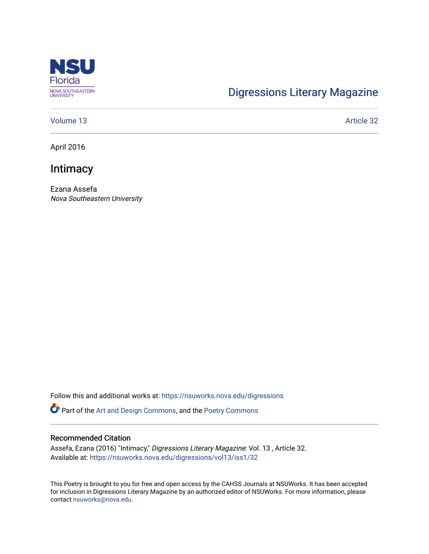

# [Digressions Literary Magazine](https://nsuworks.nova.edu/digressions)

#### [Volume 13](https://nsuworks.nova.edu/digressions/vol13) Article 32

April 2016

## **Intimacy**

Ezana Assefa Nova Southeastern University

Follow this and additional works at: [https://nsuworks.nova.edu/digressions](https://nsuworks.nova.edu/digressions?utm_source=nsuworks.nova.edu%2Fdigressions%2Fvol13%2Fiss1%2F32&utm_medium=PDF&utm_campaign=PDFCoverPages) 

Part of the [Art and Design Commons](http://network.bepress.com/hgg/discipline/1049?utm_source=nsuworks.nova.edu%2Fdigressions%2Fvol13%2Fiss1%2F32&utm_medium=PDF&utm_campaign=PDFCoverPages), and the [Poetry Commons](http://network.bepress.com/hgg/discipline/1153?utm_source=nsuworks.nova.edu%2Fdigressions%2Fvol13%2Fiss1%2F32&utm_medium=PDF&utm_campaign=PDFCoverPages) 

#### Recommended Citation

Assefa, Ezana (2016) "Intimacy," Digressions Literary Magazine: Vol. 13 , Article 32. Available at: [https://nsuworks.nova.edu/digressions/vol13/iss1/32](https://nsuworks.nova.edu/digressions/vol13/iss1/32?utm_source=nsuworks.nova.edu%2Fdigressions%2Fvol13%2Fiss1%2F32&utm_medium=PDF&utm_campaign=PDFCoverPages)

This Poetry is brought to you for free and open access by the CAHSS Journals at NSUWorks. It has been accepted for inclusion in Digressions Literary Magazine by an authorized editor of NSUWorks. For more information, please contact [nsuworks@nova.edu.](mailto:nsuworks@nova.edu)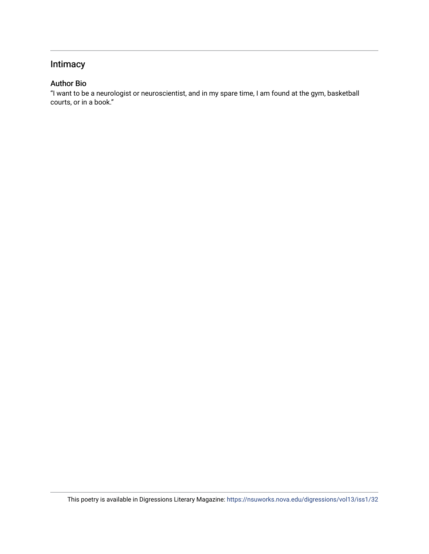### Intimacy

### Author Bio

"I want to be a neurologist or neuroscientist, and in my spare time, I am found at the gym, basketball courts, or in a book."